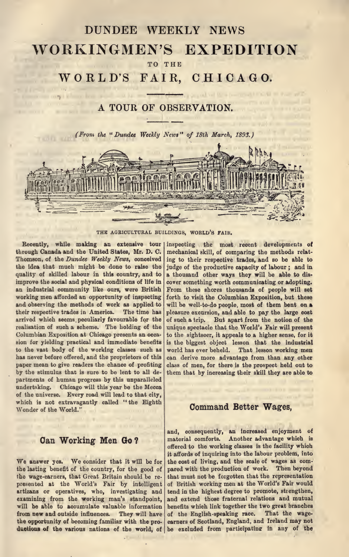# DUNDEE WEEKLY NEWS WORKINGMEN'S EXPEDITION TO THE

WORLD'S FAIR, CHICAGO.

# A TOUR OF OBSERVATION.

(From the "Dundee Weekly News" of 18th March, 1893.)



THE AGRICULTURAL BUILDINGS, WORLD'S FAIR.

Recently, while making an extensive tour | through Canada and the United States, Mr. D. C. Thomson, of the Dundee Weekly News, conceived the idea that much might be done to raise the quality of skilled labour in this country, and to improve the social and physical conditions of life in an industrial community like ours, were British working men afforded an opportunity of inspecting and observing the methods of work as applied to their respective trades in America. The time has arrived which seems peculiarly favourable for the realisation of such a scheme. The holding of the Columbian Exposition at Chicago presents an occa sion for yielding practical and immediate benefits to the vast body of the working classes such as has never before offered, and the proprietors of this paper mean to give readers the chance of profiting by the stimulus that is sure to be lent to all de partments of human progress by this unparalleled undertaking. Chicago will this year be the Mecca of the universe. Every road will lead to that city, which is not extravagantly called "the Eighth Wonder of the World."

#### Can Working Men Go ?

We answer yes. We consider that it will be for the lasting benefit of the country, for the good of the wage-earners, that Great Britain should be re presented at the World's Fair by intelligent artizans or operatives, who, investigating and examining from the working man's standpoint, will be able to accumulate valuable information from new and outside influences. They will have the opportunity of becoming familiar with the pro ductions of the various nations of the world, of be excluded from participating in any of the

inspecting the most recent developments of mechanical skill, of comparing the methods relat ing to their respective trades, and so be able to judge of the productive capacity of labour ; and in a thousand other ways they will be able to dis cover something worth communicating or adopting. From these shores thousands of people will set forth to visit the Columbian Exposition, but these will be well-to-do people, most of them bent on <sup>a</sup> pleasure excursion, and able to pay the large cost of such a trip. But apart from the notion of the unique spectacle that the World's Fair will present to the sightseer, it appeals to a higher sense, for it is the biggest object lesson that the industrial world has ever beheld. That lesson working men can derive more advantage from than any other class of men, for there is the prospect held out to them that by increasing their skill they are able to

#### Command Better Wages,

and, consequently, an increased enjoyment of material comforts. Another advantage which is offered to the working classes is the facility which it affords of inquiring into the labour problem, into the cost of living, and the scale of wages as com pared with the production of work. Then beyond that must not be forgotten that the representation of British working men at the World's Fair would tend in the highest degree to promote, strengthen, and extend those fraternal relations and mutual benefits which link together the two great branches<br>of the English-speaking race. That the wageof the English-speaking race. earners of Scotland, England, and Ireland may not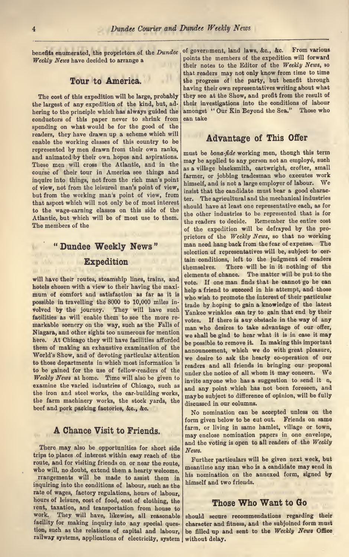benefits enumerated, the proprietors of the Dundee Weekly News have decided to arrange a

#### Tour to America.

The cost of this expedition will be large, probably the largest of any expedition of the kind, but, ad hering to the principle which has always guided the conductors of this paper never to shrink from spending on what would be for the good of the readers, they have drawn up a scheme which will enable the working classes of this country to be represented by men drawn from their own ranks, and animated by their own hopes and aspirations. These men will cross the Atlantic, and in the course of their tour in America see things and inquire into things, not from the rich man's point of view, not from the leisured man's point of view, but from the working man's point of view, from  $\left| \frac{\text{mean}}{\text{term}} \right|$ that aspect which will not only be of most interest to the wage-earning classes on this side of the Atlantic, but which will be of most use to them. The members of the

# " Dundee Weekly News " Expedition

will have their routes, steamship lines, trains, and hotels chosen with a view to their having the maximum of comfort and satisfaction as far as it is possible in travelling the 8000 to 10,000 miles in-<br>volved by the journey. They will have such volved by the journey. facilities as will enable them to see the more re markable scenery on the way, such as the Falls of Niagara, and other sights too numerous for mention here. At Chicago they will have facilities afforded them of making an exhaustive examination of the World's Show, and of devoting particular attention to those departments in which most information is to be gained for the use of fellow-readers of the Weekly News at home. Time will also be given to examine the varied industries of Chicago, such as the iron and steel works, the car-building works, the farm machinery works, the stock yards, the beef and pork packing factories, &c., &c.

### A Chance Visit to Friends.

There may also be opportunities for short side trips to places of interest within easy reach of the route, and for visiting friends on or near the route, who will, no doubt, extend them a hearty welcome. rrangements will be made to assist them in inquiring into the conditions of labour, such as the rate of wages, factory regulations, hours of labour, hours of leisure, cost of food, cost of clothing, the rent, taxation, and transportation from house to work. They will have, likewise, all reasonable facility for making inquiry into any special ques tion, such as the relations of capital and labour, railway systems, applications of electricity, system |

of government, land laws, &c., &c. From various points the members of the expedition will forward their notes to the Editor of the Weekly News, so that readers may not only know from time to time the progress of the party, but benefit through having their own representatives writing about what they see at the Show, and profit from the result of their investigations into the conditions of labour amongst " Our Kin Beyond the Sea." Those who can take

## Advantage of This Offer

must be bona-fide working men, though this term may be applied to any person not an employé, such as a village blacksmith, cartwright, crofter, small farmer, or jobbing tradesman who executes work himself, and is not <sup>a</sup> large employer of labour. We insist that the candidate must bear a good charac ter. The agricultural and the mechanical industries should have at least one representative each, as for the other industries to be represented that is for the readers to decide. Remember the entire cost of the expedition will be defrayed by the pro prietors of the Weekly News, so that no working man need hang back from the fear of expense. The selection of representatives will be, subject to cer tain conditions, left to the judgment of readers<br>themselves. There will be in it nothing of the There will be in it nothing of the elements of chance. The matter will be put to the vote. If one man finds that he cannot go he can help <sup>a</sup> friend to succeed in his attempt, and those who wish to promote the interest of their particular trade by hoping to gain a knowledge of the latest Yankee wrinkles can try to gain that end by their votes. If there is any obstacle in the way of any man who desires to take advantage of our offer, we shall be glad to hear what it is in case it may be possible to remove it. In making this important announcement, which we do with great pleasure, we desire to ask the hearty co-operation of our readers and all friends in bringing our proposal under the notice of all whom it may concern. We invite anyone who has <sup>a</sup> suggestion to send it n, and any point which has not been foreseen, and may be subject to difference of opinion, will be fully discussed in our columns.

No nomination can be accepted unless on the form given below to be cut out. Friends on same farm, or living in same hamlet, village or town, may enclose nomination papers in one envelope, and the voting is open to all readers of the Weekly News.

Further particulars will be given next week, but meantime any man who is <sup>a</sup> candidate may send in his nomination on the annexed form, signed by himself and two friends.

#### Those Who Want to Go

should secure recommendations regarding their character and fitness, and the subjoined form must be filled up and sent to the Weekly News Office without delay.